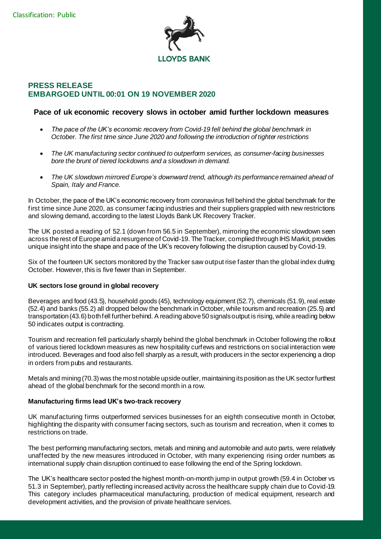

# **PRESS RELEASE EMBARGOED UNTIL 00:01 ON 19 NOVEMBER 2020**

## **Pace of uk economic recovery slows in october amid further lockdown measures**

- *The pace of the UK's economic recovery from Covid-19 fell behind the global benchmark in October. The first time since June 2020 and following the introduction of tighter restrictions*
- *The UK manufacturing sector continued to outperform services, as consumer-facing businesses bore the brunt of tiered lockdowns and a slowdown in demand.*
- *The UK slowdown mirrored Europe's downward trend, although its performance remained ahead of Spain, Italy and France.*

In October, the pace of the UK's economic recovery from coronavirus fell behind the global benchmark for the first time since June 2020, as consumer facing industries and their suppliers grappled with new restrictions and slowing demand, according to the latest Lloyds Bank UK Recovery Tracker.

The UK posted a reading of 52.1 (down from 56.5 in September), mirroring the economic slowdown seen across the rest of Europe amid a resurgence of Covid-19. The Tracker, complied through IHS Markit, provides unique insight into the shape and pace of the UK's recovery following the disruption caused by Covid-19.

Six of the fourteen UK sectors monitored by the Tracker saw output rise faster than the global index during October. However, this is five fewer than in September.

## **UK sectors lose ground in global recovery**

Beverages and food (43.5), household goods (45), technology equipment (52.7), chemicals (51.9), real estate (52.4) and banks (55.2) all dropped below the benchmark in October, while tourism and recreation (25.5) and transportation (43.6) both fell further behind. A reading above 50 signals output is rising, while a reading below 50 indicates output is contracting.

Tourism and recreation fell particularly sharply behind the global benchmark in October following the rollout of various tiered lockdown measures as new hospitality curfews and restrictions on social interaction were introduced. Beverages and food also fell sharply as a result, with producers in the sector experiencing a drop in orders from pubs and restaurants.

Metals and mining (70.3) was the most notable upside outlier, maintaining its position as the UK sector furthest ahead of the global benchmark for the second month in a row.

## **Manufacturing firms lead UK's two-track recovery**

UK manufacturing firms outperformed services businesses for an eighth consecutive month in October, highlighting the disparity with consumer facing sectors, such as tourism and recreation, when it comes to restrictions on trade.

The best performing manufacturing sectors, metals and mining and automobile and auto parts, were relatively unaffected by the new measures introduced in October, with many experiencing rising order numbers as international supply chain disruption continued to ease following the end of the Spring lockdown.

The UK's healthcare sector posted the highest month-on-month jump in output growth (59.4 in October vs 51.3 in September), partly reflecting increased activity across the healthcare supply chain due to Covid-19. This category includes pharmaceutical manufacturing, production of medical equipment, research and development activities, and the provision of private healthcare services.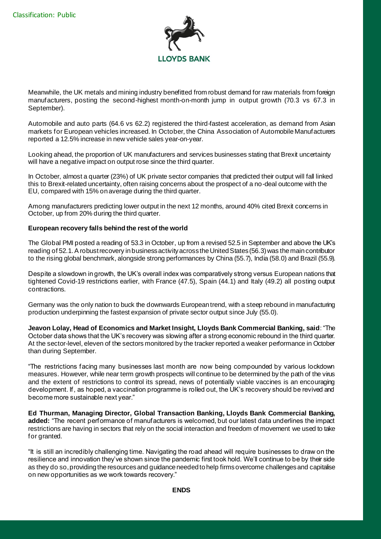

Meanwhile, the UK metals and mining industry benefitted from robust demand for raw materials from foreign manufacturers, posting the second-highest month-on-month jump in output growth (70.3 vs 67.3 in September).

Automobile and auto parts (64.6 vs 62.2) registered the third-fastest acceleration, as demand from Asian markets for European vehicles increased. In October, the China Association of Automobile Manufacturers reported a 12.5% increase in new vehicle sales year-on-year.

Looking ahead, the proportion of UK manufacturers and services businesses stating that Brexit uncertainty will have a negative impact on output rose since the third quarter.

In October, almost a quarter (23%) of UK private sector companies that predicted their output will fall linked this to Brexit-related uncertainty, often raising concerns about the prospect of a no-deal outcome with the EU, compared with 15% on average during the third quarter.

Among manufacturers predicting lower output in the next 12 months, around 40% cited Brexit concerns in October, up from 20% during the third quarter.

### **European recovery falls behind the rest of the world**

The Global PMI posted a reading of 53.3 in October, up from a revised 52.5 in September and above the UK's reading of 52.1. A robust recovery in business activity across the United States (56.3) was the main contributor to the rising global benchmark, alongside strong performances by China (55.7), India (58.0) and Brazil (55.9).

Despite a slowdown in growth, the UK's overall index was comparatively strong versus European nations that tightened Covid-19 restrictions earlier, with France (47.5), Spain (44.1) and Italy (49.2) all posting output contractions.

Germany was the only nation to buck the downwards European trend, with a steep rebound in manufacturing production underpinning the fastest expansion of private sector output since July (55.0).

**Jeavon Lolay, Head of Economics and Market Insight, Lloyds Bank Commercial Banking, said**: "The October data shows that the UK's recovery was slowing after a strong economic rebound in the third quarter. At the sector-level, eleven of the sectors monitored by the tracker reported a weaker performance in October than during September.

"The restrictions facing many businesses last month are now being compounded by various lockdown measures. However, while near term growth prospects will continue to be determined by the path of the virus and the extent of restrictions to control its spread, news of potentially viable vaccines is an encouraging development. If, as hoped, a vaccination programme is rolled out, the UK's recovery should be revived and become more sustainable next year."

**Ed Thurman, Managing Director, Global Transaction Banking, Lloyds Bank Commercial Banking, added:** "The recent performance of manufacturers is welcomed, but our latest data underlines the impact restrictions are having in sectors that rely on the social interaction and freedom of movement we used to take for granted.

"It is still an incredibly challenging time. Navigating the road ahead will require businesses to draw on the resilience and innovation they've shown since the pandemic first took hold. We'll continue to be by their side as they do so, providing the resources and guidance needed to help firms overcome challenges and capitalise on new opportunities as we work towards recovery."